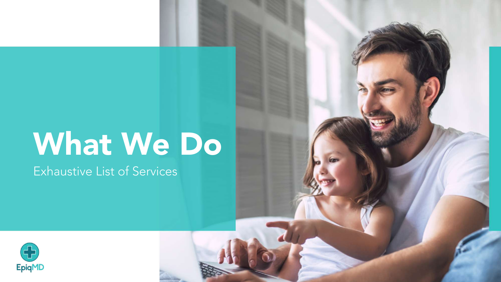# What We Do

Exhaustive List of Services

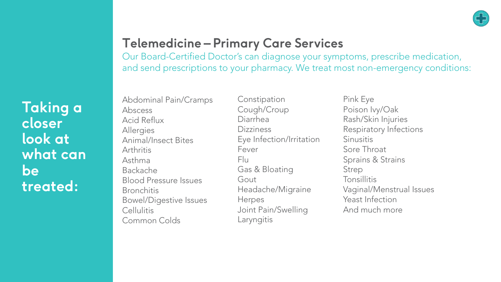

# **Telemedicine – Primary Care Services**

Our Board-Certified Doctor's can diagnose your symptoms, prescribe medication, and send prescriptions to your pharmacy. We treat most non-emergency conditions:

• Abscess **Taking a Taking a** • Acid Reflux **closer closer** • Allergies • Animal/Insect Bites **look at look at**  $\blacksquare$  what can • Asthma **be** • Backache **e** treated: Abdominal Pain/Cramps Abscess Acid Reflux Allergies Animal/Insect Bites Arthritis Asthma Backache Blood Pressure Issues Bronchitis Bowel/Digestive Issues **Cellulitis** Common Colds

Constipation Cough/Croup Diarrhea **Dizziness** Eye Infection/Irritation Fever Flu Gas & Bloating Gout Headache/Migraine **Herpes** Joint Pain/Swelling Laryngitis

Pink Eye Poison Ivy/Oak Rash/Skin Injuries Respiratory Infections **Sinusitis** Sore Throat Sprains & Strains Strep **Tonsillitis** Vaginal/Menstrual Issues Yeast Infection And much more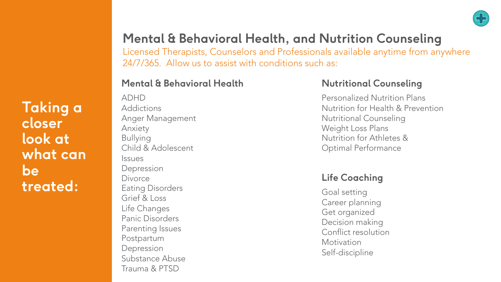

# **Mental & Behavioral Health, and Nutrition Counseling**

Licensed Therapists, Counselors and Professionals available anytime from anywhere 24/7/365. Allow us to assist with conditions such as:

#### **Mental & Behavioral Health Nutritional Counseling**

**Taking a closer look at what can be**

ADHD Addictions Anger Management Anxiety Bullying Child & Adolescent **Issues** Depression **Divorce** Eating Disorders Grief & Loss Life Changes Panic Disorders Parenting Issues Postpartum Depression Substance Abuse Trauma & PTSD **treated: Life Coaching**

Personalized Nutrition Plans Nutrition for Health & Prevention Nutritional Counseling Weight Loss Plans Nutrition for Athletes & Optimal Performance

Goal setting Career planning Get organized Decision making Conflict resolution **Motivation** Self-discipline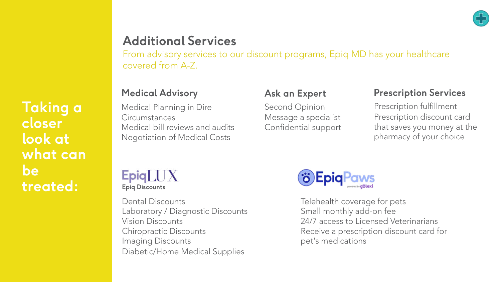

## **Additional Services**

From advisory services to our discount programs, Epiq MD has your healthcare covered from A-Z.

#### **Medical Advisory**

Medical Planning in Dire **Circumstances** Medical bill reviews and audits Negotiation of Medical Costs

### **Ask an Expert**

Second Opinion Message a specialist Confidential support

### **Prescription Services**

Prescription fulfillment Prescription discount card that saves you money at the pharmacy of your choice

**EpigLUX Epiq Discounts**

Dental Discounts Laboratory / Diagnostic Discounts Vision Discounts Chiropractic Discounts Imaging Discounts Diabetic/Home Medical Supplies



Telehealth coverage for pets Small monthly add-on fee 24/7 access to Licensed Veterinarians Receive a prescription discount card for pet's medications

**Taking a closer look at what can be treated:**